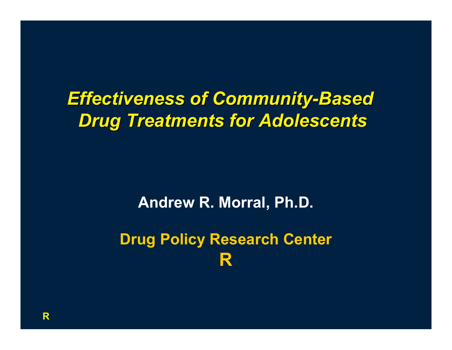*Effectiveness of Community Effectiveness of Community-Based Drug Treatments for Adolescents Drug Treatments for Adolescents*

**Andrew R. Morral, Ph.D.**

**Drug Policy Research Center R**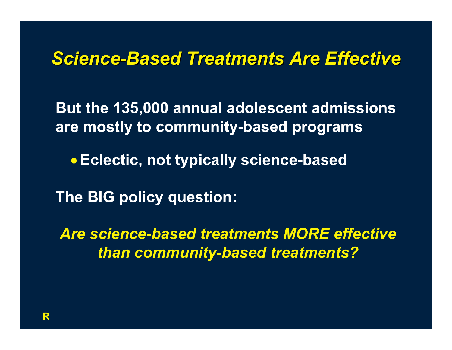#### *Science Science-Based Treatments Are Effective Based Treatments Are Effective*

**But the 135,000 annual adolescent admissions are mostly to community-based programs**

**Eclectic, not typically science-based**

**The BIG policy question:** 

*Are science-based treatments MORE effective than community-based treatments?*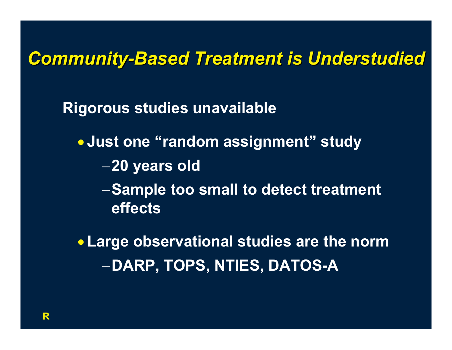**Community-Based Treatment is Understudied** 

**Rigorous studies unavailable**

 **Just one "random assignment" study 20 years old**  -**Sample too small to detect treatment effects**

 **Large observational studies are the norm** -**DARP, TOPS, NTIES, DATOS-A**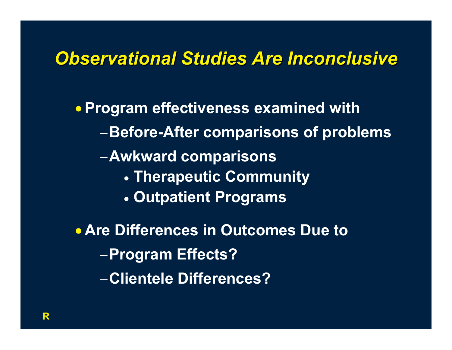# *Observational Studies Are Inconclusive Observational Studies Are Inconclusive*

- **Program effectiveness examined with**
	- **Before-After comparisons of problems**
	- **Awkward comparisons**
		- **Therapeutic Community**
		- **Outpatient Programs**
- **Are Differences in Outcomes Due toProgram Effects?** -**Clientele Differences?**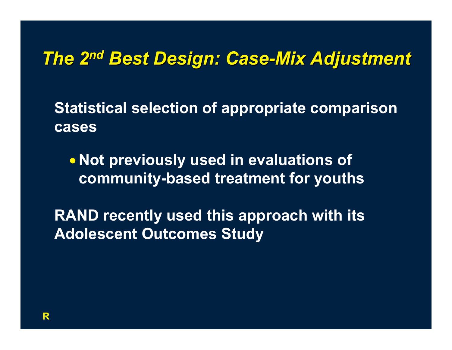#### *The 2nd Best Design: Case Best Design: Case-Mix Adjustment*

**Statistical selection of appropriate comparison cases**

 **Not previously used in evaluations of community-based treatment for youths**

**RAND recently used this approach with its Adolescent Outcomes Study**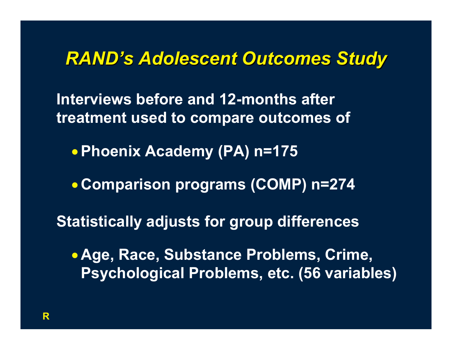#### *RAND's Adolescent Outcomes Study cent Outcomes Study*

**Interviews before and 12-months after treatment used to compare outcomes of** 

**Phoenix Academy (PA) n=175**

**Comparison programs (COMP) n=274**

**Statistically adjusts for group differences**

 **Age, Race, Substance Problems, Crime, Psychological Problems, etc. (56 variables)**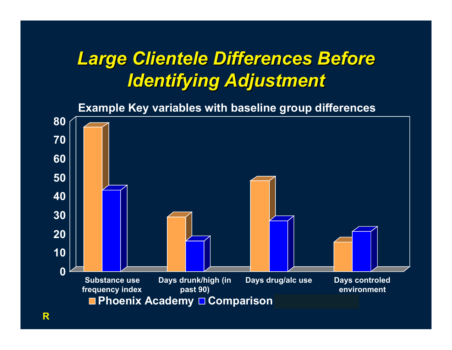# *Large Clientele Differences Before Large Clientele Differences Before* **Identifying Adjustment**

**Example Key variables with baseline group differences**

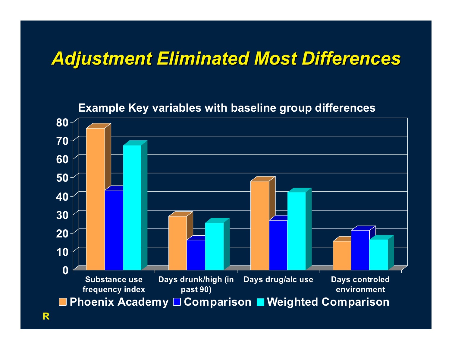# *Adjustment Eliminated Most Differences Adjustment Eliminated Most Differences*

#### **Example Key variables with baseline group differences**

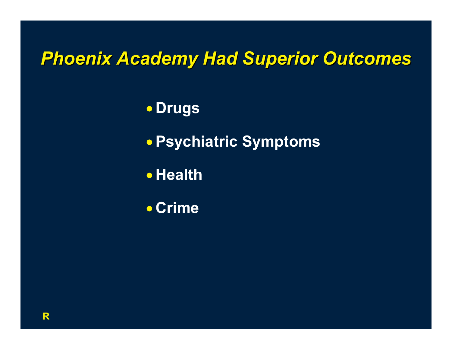*Phoenix Acade Phoenix Academy Had Superior Outc y Had Superior Outcomes*

**Drugs**

**Psychiatric Symptoms**

**• Health** 

**Crime**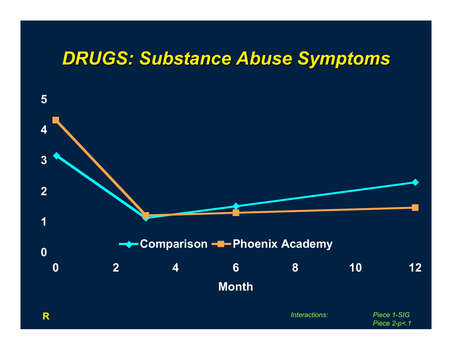## *DRUGS: Subs DRUGS: Substance Abuse Sy tance Abuse Symptoms*



*Interactions: Piece 1-SIGPiece 2-p<.1*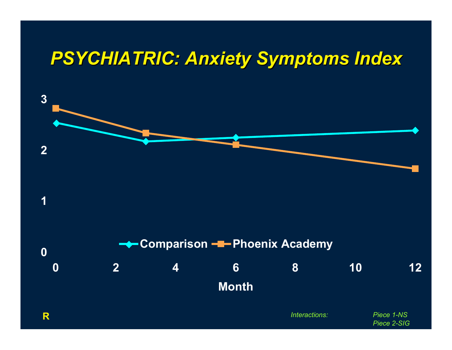# **PSYCHIATRIC: Anxiety Symptoms Index**





*Interactions: Piece 1-NS*

*Piece 2-SIG*

**1**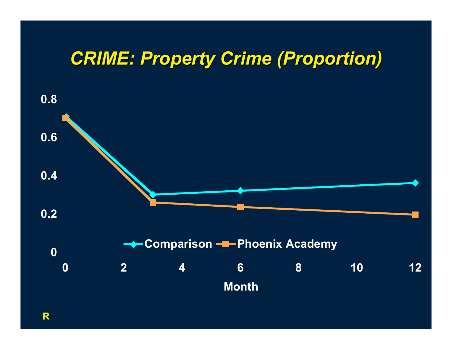# *CRIME: Property Crime (Proportion) CRIME: Property Crime (Proportion)*

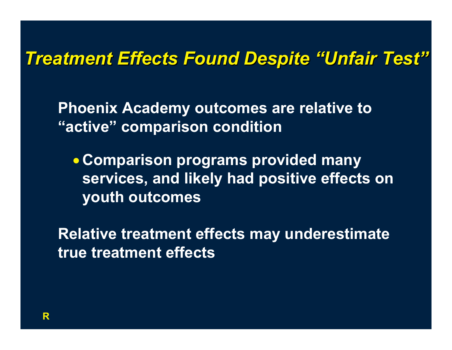#### *Treatment Effects Found Despite "Unfair Test" Treatment Effects Found Despite "Unfair Test"*

**Phoenix Academy outcomes are relative to "active" comparison condition**

 **Comparison programs provided many services, and likely had positive effects on youth outcomes**

**Relative treatment effects may underestimate true treatment effects**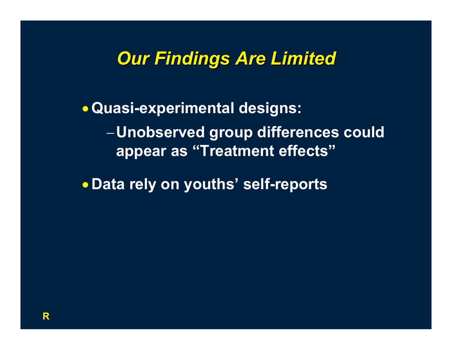# *Our Findings Are Limited Our Findings Are Limited*

 **Quasi-experimental designs: Unobserved group differences could appear as "Treatment effects"**

**Data rely on youths' self-reports**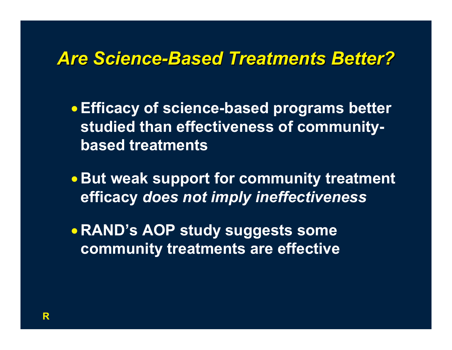#### *Are Science Are Science-Based Treatments Better? Based Treatments Better?*

- **Efficacy of science-based programs better studied than effectiveness of communitybased treatments**
- **But weak support for community treatment efficacy** *does not imply ineffectiveness*
- **RAND's AOP study suggests some community treatments are effective**